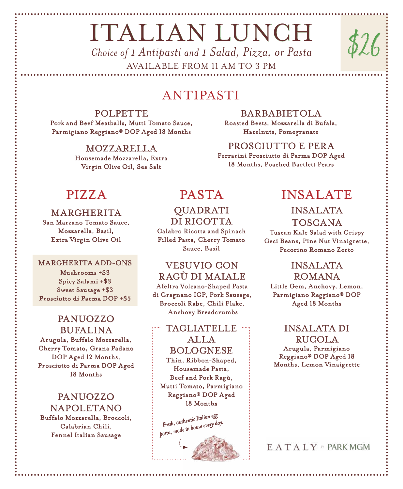# **ITALIAN LUNCH** *Choice of 1 Antipasti and 1 Salad, Pizza, or Pasta*

AVAILABLE FROM 11 AM TO 3 PM

## ANTIPASTI

POLPETTE Pork and Beef Meatballs, Mutti Tomato Sauce, Parmigiano Reggiano® DOP Aged 18 Months

> **MOZZARELLA** Housemade Mozzarella, Extra Virgin Olive Oil, Sea Salt

## Roasted Beets, Mozzarella di Bufala, Hazelnuts, Pomegranate

BARBABIETOLA

PROSCIUTTO E PERA Ferrarini Prosciutto di Parma DOP Aged 18 Months, Poached Bartlett Pears

## **MARGHERITA**

San Marzano Tomato Sauce, Mozzarella, Basil, Extra Virgin Olive Oil

#### MARGHERITA ADD-ONS

Mushrooms +\$3 Spicy Salami +\$3 Sweet Sausage +\$3 Prosciutto di Parma DOP +\$5

#### PANUOZZO **BUFALINA** Arugula, Buffalo Mozzarella, Cherry Tomato, Grana Padano DOP Aged 12 Months, Prosciutto di Parma DOP Aged 18 Months

PANUOZZO **NAPOLETANO** Buffalo Mozzarella, Broccoli, Calabrian Chili, Fennel Italian Sausage

## QUADRATI DI RICOTTA

Calabro Ricotta and Spinach Filled Pasta, Cherry Tomato Sauce, Basil

## VESUVIO CON RAGÙ DI MAIALE

Afeltra Volcano-Shaped Pasta di Gragnano IGP, Pork Sausage, Broccoli Rabe, Chili Flake, Anchovy Breadcrumbs

## TAGLIATELLE ALLA BOLOGNESE

Thin, Ribbon-Shaped, Housemade Pasta, Beef and Pork Ragù, Mutti Tomato, Parmigiano Reggiano® DOP Aged 18 Months



## PIZZA PASTA INSALATE

\$26

## **INSALATA**

TOSCANA Tuscan Kale Salad with Crispy Ceci Beans, Pine Nut Vinaigrette, Pecorino Romano Zerto

## **INSALATA** ROMANA

Little Gem, Anchovy, Lemon, Parmigiano Reggiano® DOP Aged 18 Months

#### **INSALATA DI** RUCOLA

Arugula, Parmigiano Reggiano® DOP Aged 18 Months, Lemon Vinaigrette